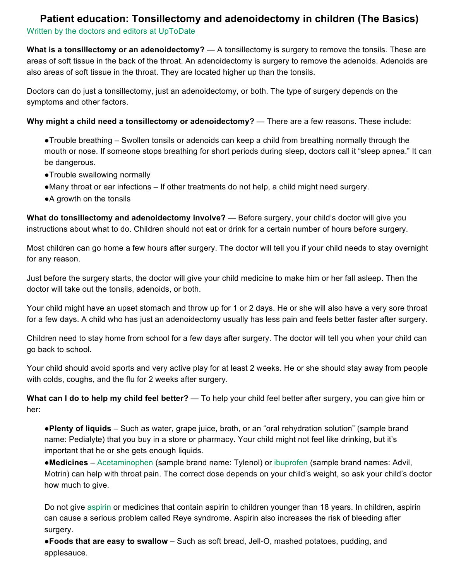## **Patient education: Tonsillectomy and adenoidectomy in children (The Basics)** Written by the doctors and editors at UpToDate

**What is a tonsillectomy or an adenoidectomy?** — A tonsillectomy is surgery to remove the tonsils. These are areas of soft tissue in the back of the throat. An adenoidectomy is surgery to remove the adenoids. Adenoids are also areas of soft tissue in the throat. They are located higher up than the tonsils.

Doctors can do just a tonsillectomy, just an adenoidectomy, or both. The type of surgery depends on the symptoms and other factors.

**Why might a child need a tonsillectomy or adenoidectomy?** — There are a few reasons. These include:

- ●Trouble breathing Swollen tonsils or adenoids can keep a child from breathing normally through the mouth or nose. If someone stops breathing for short periods during sleep, doctors call it "sleep apnea." It can be dangerous.
- ●Trouble swallowing normally
- ●Many throat or ear infections If other treatments do not help, a child might need surgery.
- ●A growth on the tonsils

**What do tonsillectomy and adenoidectomy involve?** — Before surgery, your child's doctor will give you instructions about what to do. Children should not eat or drink for a certain number of hours before surgery.

Most children can go home a few hours after surgery. The doctor will tell you if your child needs to stay overnight for any reason.

Just before the surgery starts, the doctor will give your child medicine to make him or her fall asleep. Then the doctor will take out the tonsils, adenoids, or both.

Your child might have an upset stomach and throw up for 1 or 2 days. He or she will also have a very sore throat for a few days. A child who has just an adenoidectomy usually has less pain and feels better faster after surgery.

Children need to stay home from school for a few days after surgery. The doctor will tell you when your child can go back to school.

Your child should avoid sports and very active play for at least 2 weeks. He or she should stay away from people with colds, coughs, and the flu for 2 weeks after surgery.

**What can I do to help my child feel better?** — To help your child feel better after surgery, you can give him or her:

●**Plenty of liquids** – Such as water, grape juice, broth, or an "oral rehydration solution" (sample brand name: Pedialyte) that you buy in a store or pharmacy. Your child might not feel like drinking, but it's important that he or she gets enough liquids.

●**Medicines** – Acetaminophen (sample brand name: Tylenol) or ibuprofen (sample brand names: Advil, Motrin) can help with throat pain. The correct dose depends on your child's weight, so ask your child's doctor how much to give.

Do not give aspirin or medicines that contain aspirin to children younger than 18 years. In children, aspirin can cause a serious problem called Reye syndrome. Aspirin also increases the risk of bleeding after surgery.

●**Foods that are easy to swallow** – Such as soft bread, Jell-O, mashed potatoes, pudding, and applesauce.